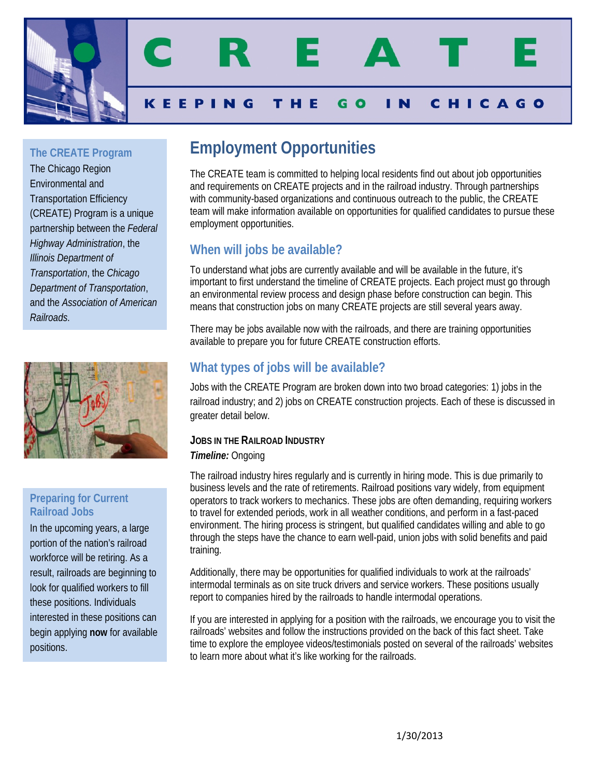

**The CREATE Program**

The Chicago Region Environmental and Transportation Efficiency (CREATE) Program is a unique partnership between the *Federal Highway Administration*, the *Illinois Department of Transportation*, the *Chicago Department of Transportation*, and the *Association of American Railroads*.



### **Preparing for Current Railroad Jobs**

In the upcoming years, a large portion of the nation's railroad workforce will be retiring. As a result, railroads are beginning to look for qualified workers to fill these positions. Individuals interested in these positions can begin applying **now** for available positions.

# **Employment Opportunities**

The CREATE team is committed to helping local residents find out about job opportunities and requirements on CREATE projects and in the railroad industry. Through partnerships with community-based organizations and continuous outreach to the public, the CREATE team will make information available on opportunities for qualified candidates to pursue these employment opportunities.

# **When will jobs be available?**

To understand what jobs are currently available and will be available in the future, it's important to first understand the timeline of CREATE projects. Each project must go through an environmental review process and design phase before construction can begin. This means that construction jobs on many CREATE projects are still several years away.

There may be jobs available now with the railroads, and there are training opportunities available to prepare you for future CREATE construction efforts.

# **What types of jobs will be available?**

Jobs with the CREATE Program are broken down into two broad categories: 1) jobs in the railroad industry; and 2) jobs on CREATE construction projects. Each of these is discussed in greater detail below.

# **JOBS IN THE RAILROAD INDUSTRY**

## *Timeline:* Ongoing

The railroad industry hires regularly and is currently in hiring mode. This is due primarily to business levels and the rate of retirements. Railroad positions vary widely, from equipment operators to track workers to mechanics. These jobs are often demanding, requiring workers to travel for extended periods, work in all weather conditions, and perform in a fast-paced environment. The hiring process is stringent, but qualified candidates willing and able to go through the steps have the chance to earn well-paid, union jobs with solid benefits and paid training.

Additionally, there may be opportunities for qualified individuals to work at the railroads' intermodal terminals as on site truck drivers and service workers. These positions usually report to companies hired by the railroads to handle intermodal operations.

If you are interested in applying for a position with the railroads, we encourage you to visit the railroads' websites and follow the instructions provided on the back of this fact sheet. Take time to explore the employee videos/testimonials posted on several of the railroads' websites to learn more about what it's like working for the railroads.